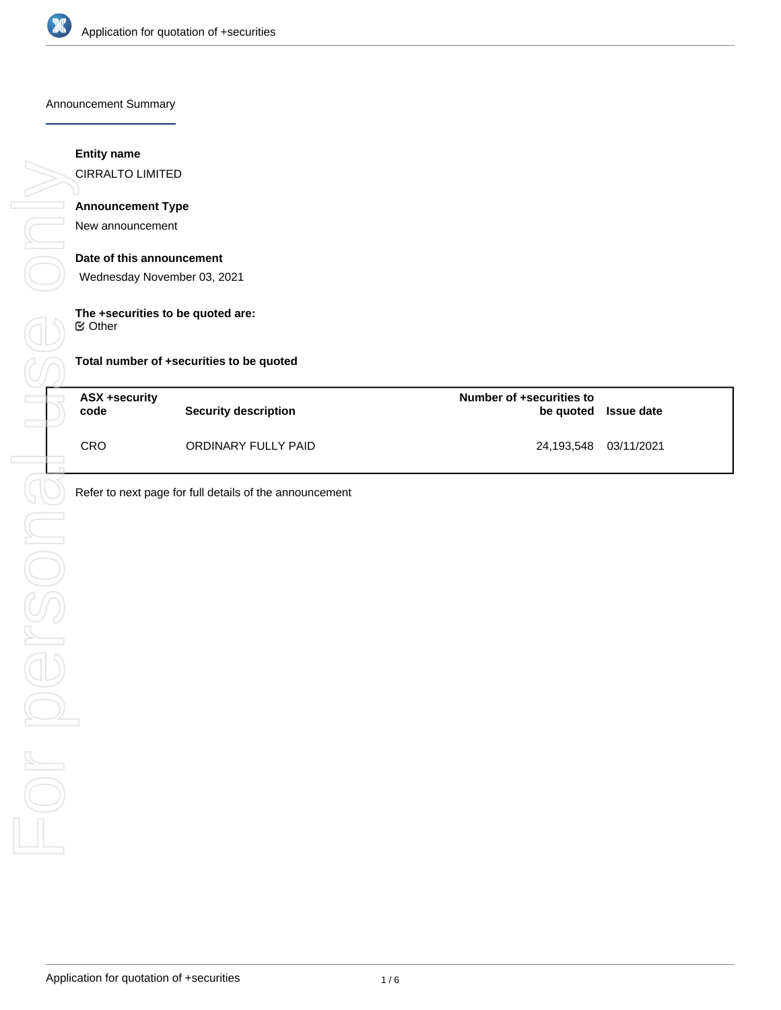

Announcement Summary

## **Entity name**

CIRRALTO LIMITED

# **Announcement Type**

New announcement

#### **Date of this announcement**

Wednesday November 03, 2021

## **The +securities to be quoted are:**

 $⊜$  Other

**Total number of +securities to be quoted**

| <b>ASX +security</b><br>code | Security description | Number of +securities to | be quoted Issue date |
|------------------------------|----------------------|--------------------------|----------------------|
| <b>CRO</b>                   | ORDINARY FULLY PAID  | 24,193,548 03/11/2021    |                      |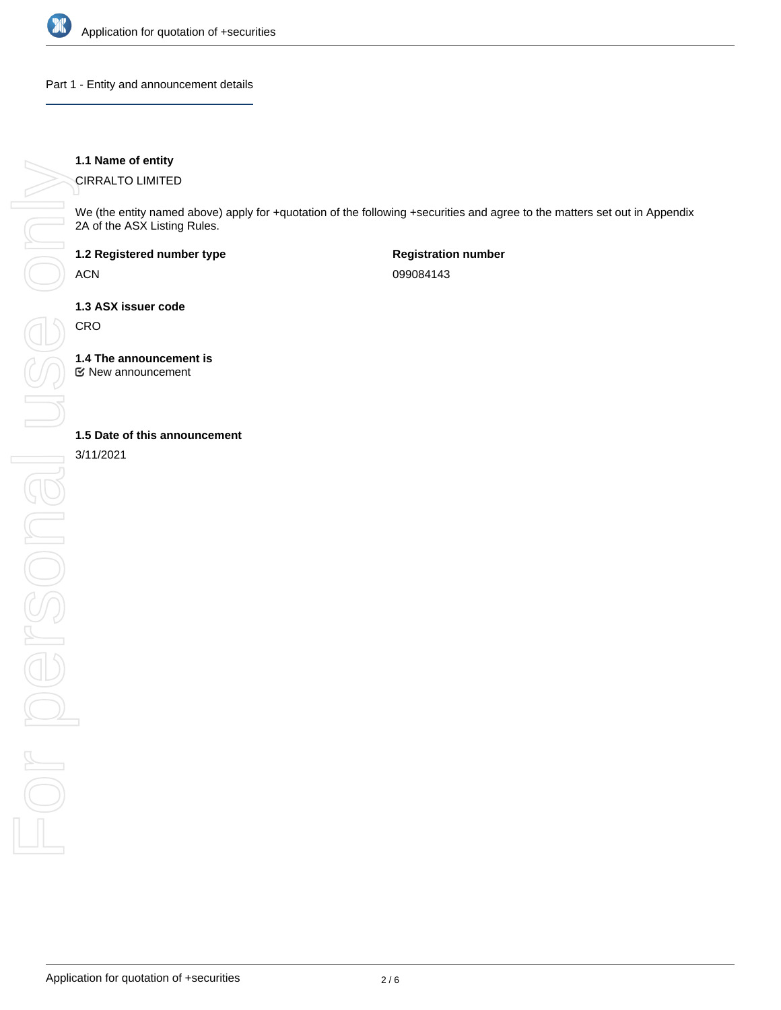

Part 1 - Entity and announcement details

# **1.1 Name of entity**

CIRRALTO LIMITED

We (the entity named above) apply for +quotation of the following +securities and agree to the matters set out in Appendix 2A of the ASX Listing Rules.

**1.2 Registered number type**

ACN

**Registration number** 099084143

**1.3 ASX issuer code**

**CRO** 

**1.4 The announcement is**

New announcement

3/11/2021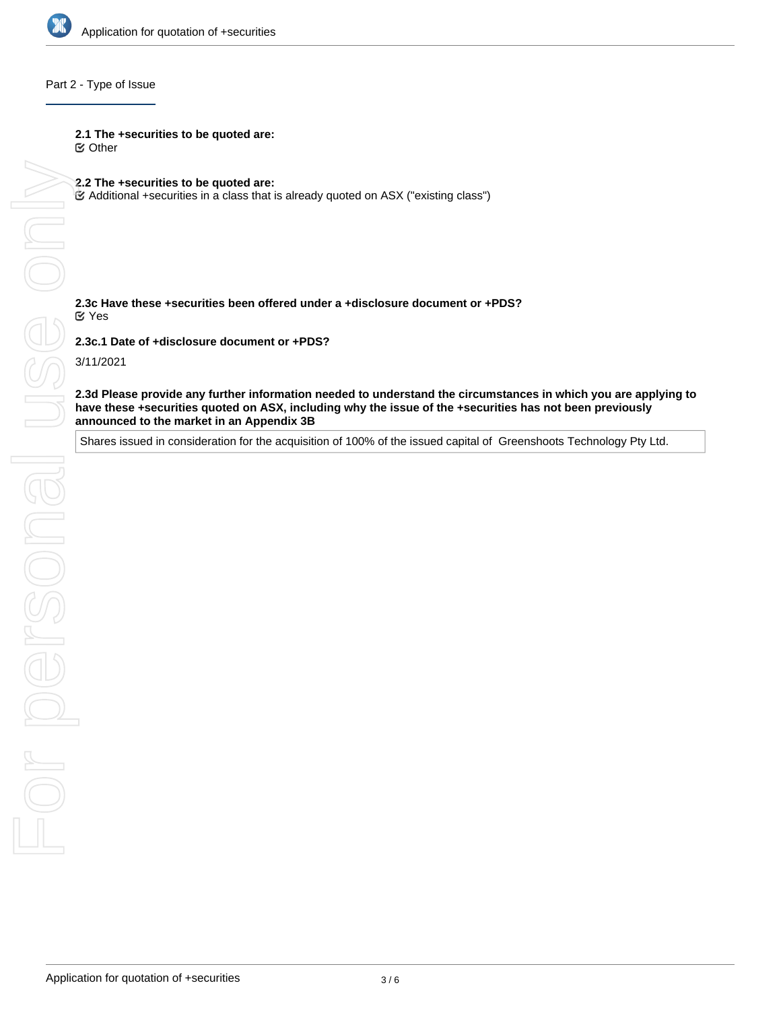

# Part 2 - Type of Issue

#### **2.1 The +securities to be quoted are:**

Other

#### **2.2 The +securities to be quoted are:**

Additional +securities in a class that is already quoted on ASX ("existing class")

#### **2.3c Have these +securities been offered under a +disclosure document or +PDS?** Yes

**2.3c.1 Date of +disclosure document or +PDS?**

3/11/2021

**have these +securities quoted on ASX, including why the issue of the +securities has not been previously announced to the market in an Appendix 3B**

Shares issued in consideration for the acquisition of 100% of the issued capital of Greenshoots Technology Pty Ltd.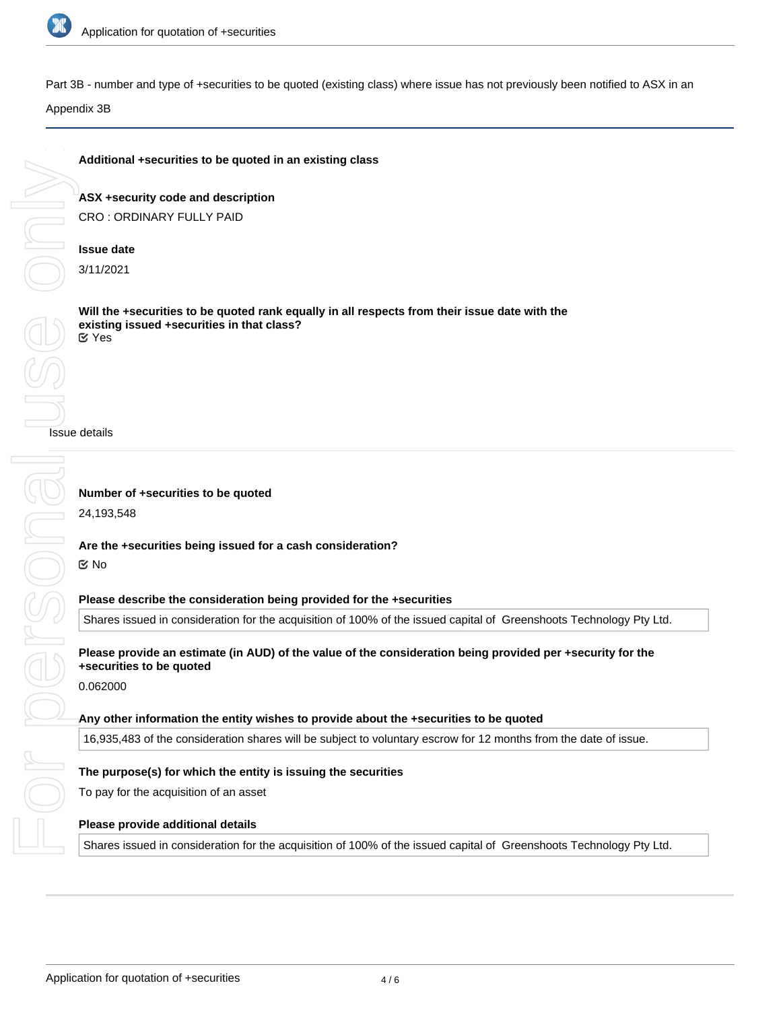

Onl

Part 3B - number and type of +securities to be quoted (existing class) where issue has not previously been notified to ASX in an

Appendix 3B

# **Additional +securities to be quoted in an existing class**

**ASX +security code and description** CRO : ORDINARY FULLY PAID

# **Issue date**

3/11/2021

**Will the +securities to be quoted rank equally in all respects from their issue date with the existing issued +securities in that class?** Yes

Issue details

Shares issued in consideration for the acquisition of 100% of the issued capital of Greenshoots Technology Pty Ltd.

16,935,483 of the consideration shares will be subject to voluntary escrow for 12 months from the date of issue.

Shares issued in consideration for the acquisition of 100% of the issued capital of Greenshoots Technology Pty Ltd.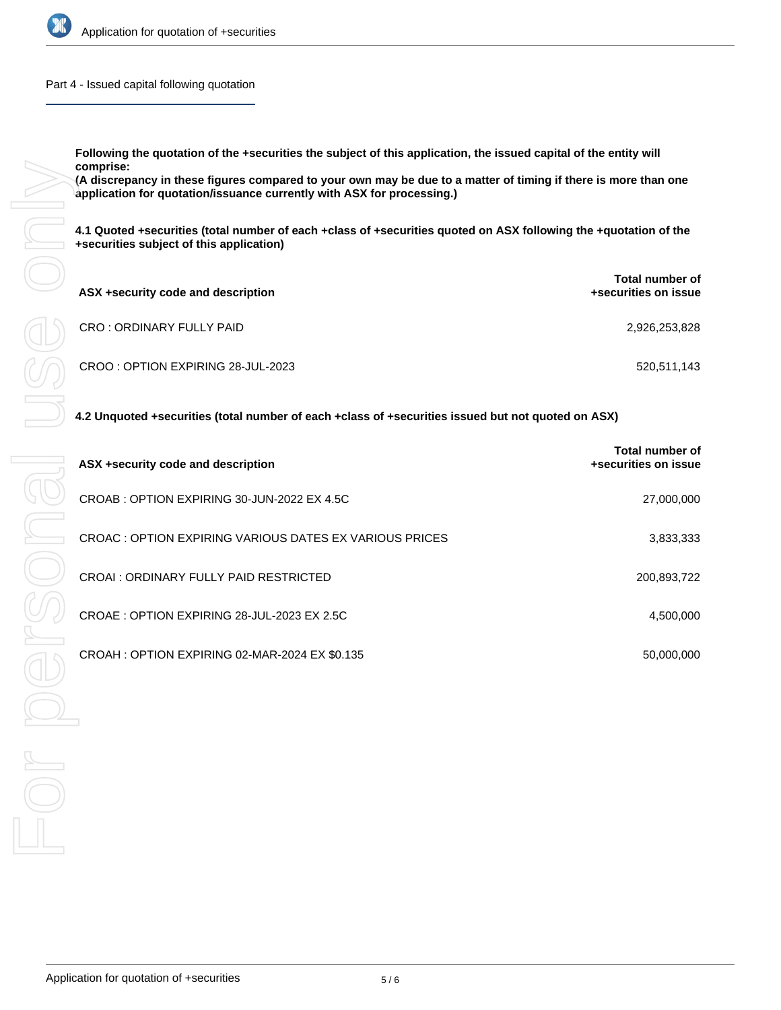

Part 4 - Issued capital following quotation

**Following the quotation of the +securities the subject of this application, the issued capital of the entity will comprise:**

**(A discrepancy in these figures compared to your own may be due to a matter of timing if there is more than one application for quotation/issuance currently with ASX for processing.)**

**4.1 Quoted +securities (total number of each +class of +securities quoted on ASX following the +quotation of the +securities subject of this application)**

| ASX +security code and description | Total number of<br>+securities on issue |
|------------------------------------|-----------------------------------------|
| CRO: ORDINARY FULLY PAID           | 2,926,253,828                           |
| CROO: OPTION EXPIRING 28-JUL-2023  | 520,511,143                             |

# **4.2 Unquoted +securities (total number of each +class of +securities issued but not quoted on ASX)**

| ASX +security code and description                      | Total number of<br>+securities on issue |  |
|---------------------------------------------------------|-----------------------------------------|--|
| CROAB: OPTION EXPIRING 30-JUN-2022 EX 4.5C              | 27,000,000                              |  |
| CROAC : OPTION EXPIRING VARIOUS DATES EX VARIOUS PRICES | 3,833,333                               |  |
| CROAL: ORDINARY FULLY PAID RESTRICTED                   | 200,893,722                             |  |
| CROAE: OPTION EXPIRING 28-JUL-2023 EX 2.5C              | 4,500,000                               |  |
| CROAH: OPTION EXPIRING 02-MAR-2024 EX \$0.135           | 50.000.000                              |  |